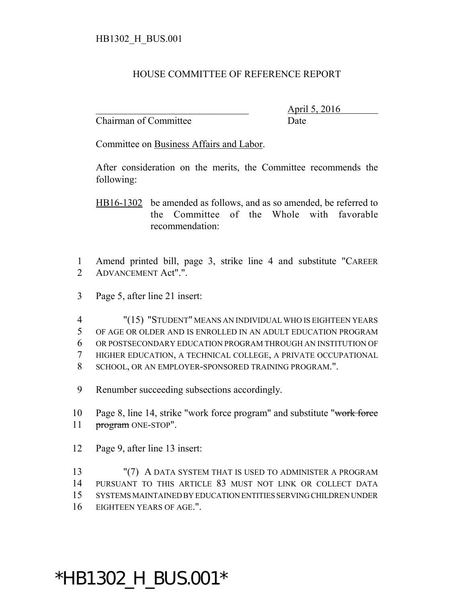## HOUSE COMMITTEE OF REFERENCE REPORT

Chairman of Committee Date

\_\_\_\_\_\_\_\_\_\_\_\_\_\_\_\_\_\_\_\_\_\_\_\_\_\_\_\_\_\_\_ April 5, 2016

Committee on Business Affairs and Labor.

After consideration on the merits, the Committee recommends the following:

HB16-1302 be amended as follows, and as so amended, be referred to the Committee of the Whole with favorable recommendation:

1 Amend printed bill, page 3, strike line 4 and substitute "CAREER 2 ADVANCEMENT Act".".

3 Page 5, after line 21 insert:

 "(15) "STUDENT" MEANS AN INDIVIDUAL WHO IS EIGHTEEN YEARS OF AGE OR OLDER AND IS ENROLLED IN AN ADULT EDUCATION PROGRAM OR POSTSECONDARY EDUCATION PROGRAM THROUGH AN INSTITUTION OF HIGHER EDUCATION, A TECHNICAL COLLEGE, A PRIVATE OCCUPATIONAL SCHOOL, OR AN EMPLOYER-SPONSORED TRAINING PROGRAM.".

9 Renumber succeeding subsections accordingly.

10 Page 8, line 14, strike "work force program" and substitute "work force 11 program ONE-STOP".

12 Page 9, after line 13 insert:

13 "(7) A DATA SYSTEM THAT IS USED TO ADMINISTER A PROGRAM PURSUANT TO THIS ARTICLE 83 MUST NOT LINK OR COLLECT DATA SYSTEMS MAINTAINED BY EDUCATION ENTITIES SERVING CHILDREN UNDER EIGHTEEN YEARS OF AGE.".

## \*HB1302\_H\_BUS.001\*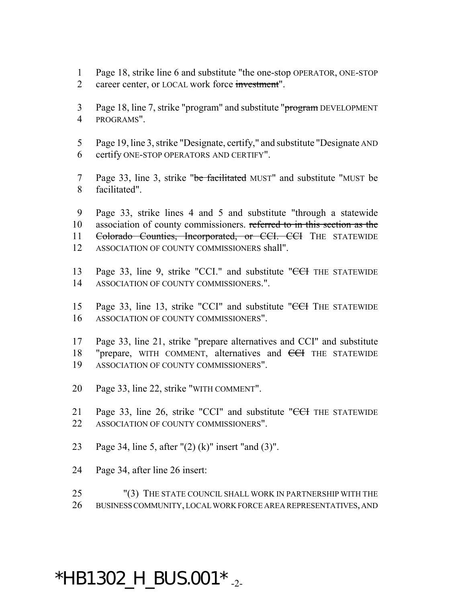- Page 18, strike line 6 and substitute "the one-stop OPERATOR, ONE-STOP
- career center, or LOCAL work force investment".
- 3 Page 18, line 7, strike "program" and substitute "program DEVELOPMENT PROGRAMS".
- Page 19, line 3, strike "Designate, certify," and substitute "Designate AND certify ONE-STOP OPERATORS AND CERTIFY".
- 7 Page 33, line 3, strike "be facilitated MUST" and substitute "MUST be facilitated".
- Page 33, strike lines 4 and 5 and substitute "through a statewide 10 association of county commissioners. referred to in this section as the 11 Colorado Counties, Incorporated, or CCI. CCI THE STATEWIDE ASSOCIATION OF COUNTY COMMISSIONERS shall".
- 13 Page 33, line 9, strike "CCI." and substitute "CCI THE STATEWIDE ASSOCIATION OF COUNTY COMMISSIONERS.".
- 15 Page 33, line 13, strike "CCI" and substitute "<del>CCI</del> THE STATEWIDE ASSOCIATION OF COUNTY COMMISSIONERS".
- Page 33, line 21, strike "prepare alternatives and CCI" and substitute 18 "prepare, WITH COMMENT, alternatives and <del>CCI</del> THE STATEWIDE ASSOCIATION OF COUNTY COMMISSIONERS".
- Page 33, line 22, strike "WITH COMMENT".
- 21 Page 33, line 26, strike "CCI" and substitute "<del>CCI</del> THE STATEWIDE ASSOCIATION OF COUNTY COMMISSIONERS".
- Page 34, line 5, after "(2) (k)" insert "and (3)".
- Page 34, after line 26 insert:
- "(3) THE STATE COUNCIL SHALL WORK IN PARTNERSHIP WITH THE BUSINESS COMMUNITY, LOCAL WORK FORCE AREA REPRESENTATIVES, AND

## $*$ HB1302\_H\_BUS.001 $*$ <sub>-2-</sub>